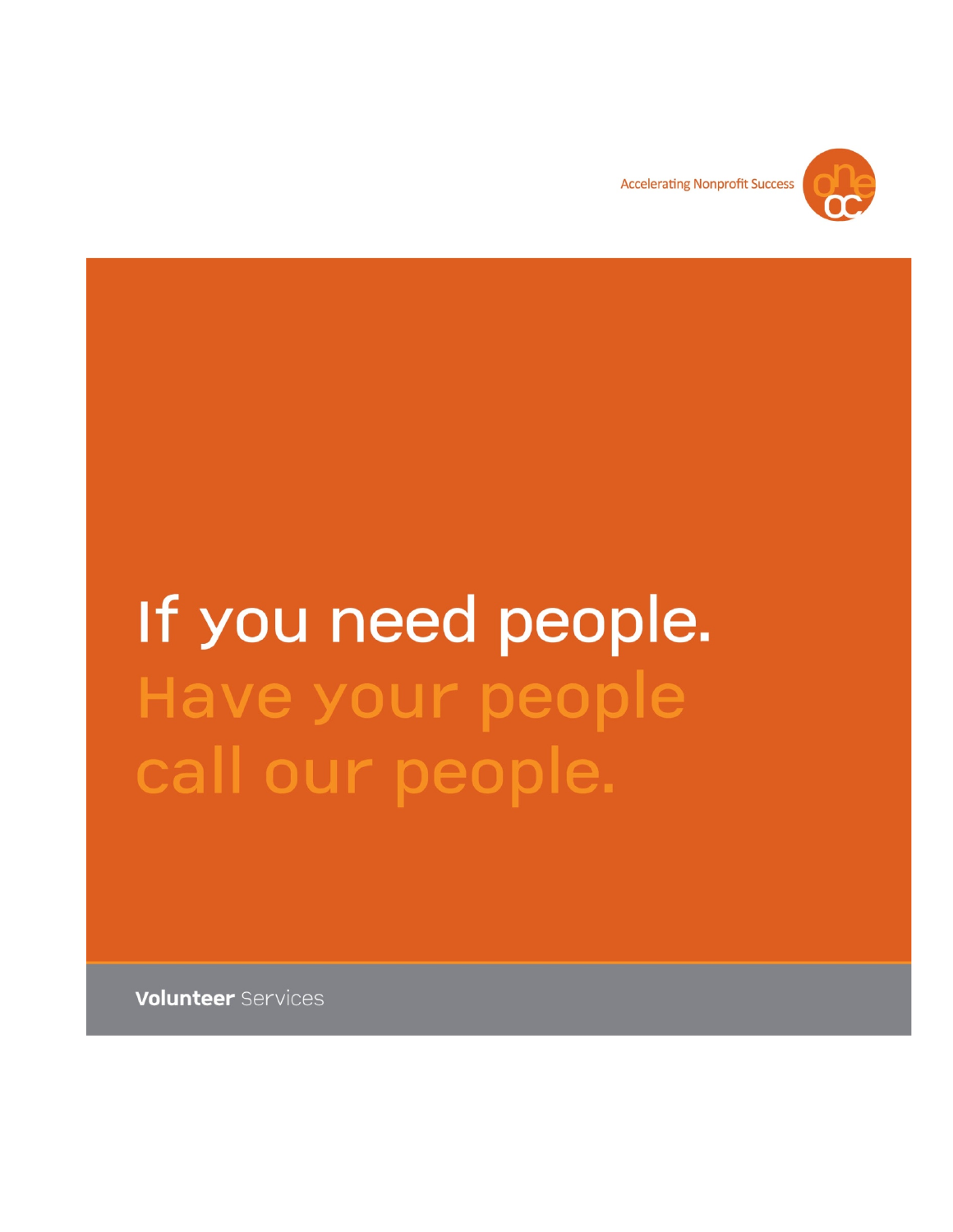

**Accelerating Nonprofit Success** 

# If you need people. Have your people call our people.

**Volunteer Services**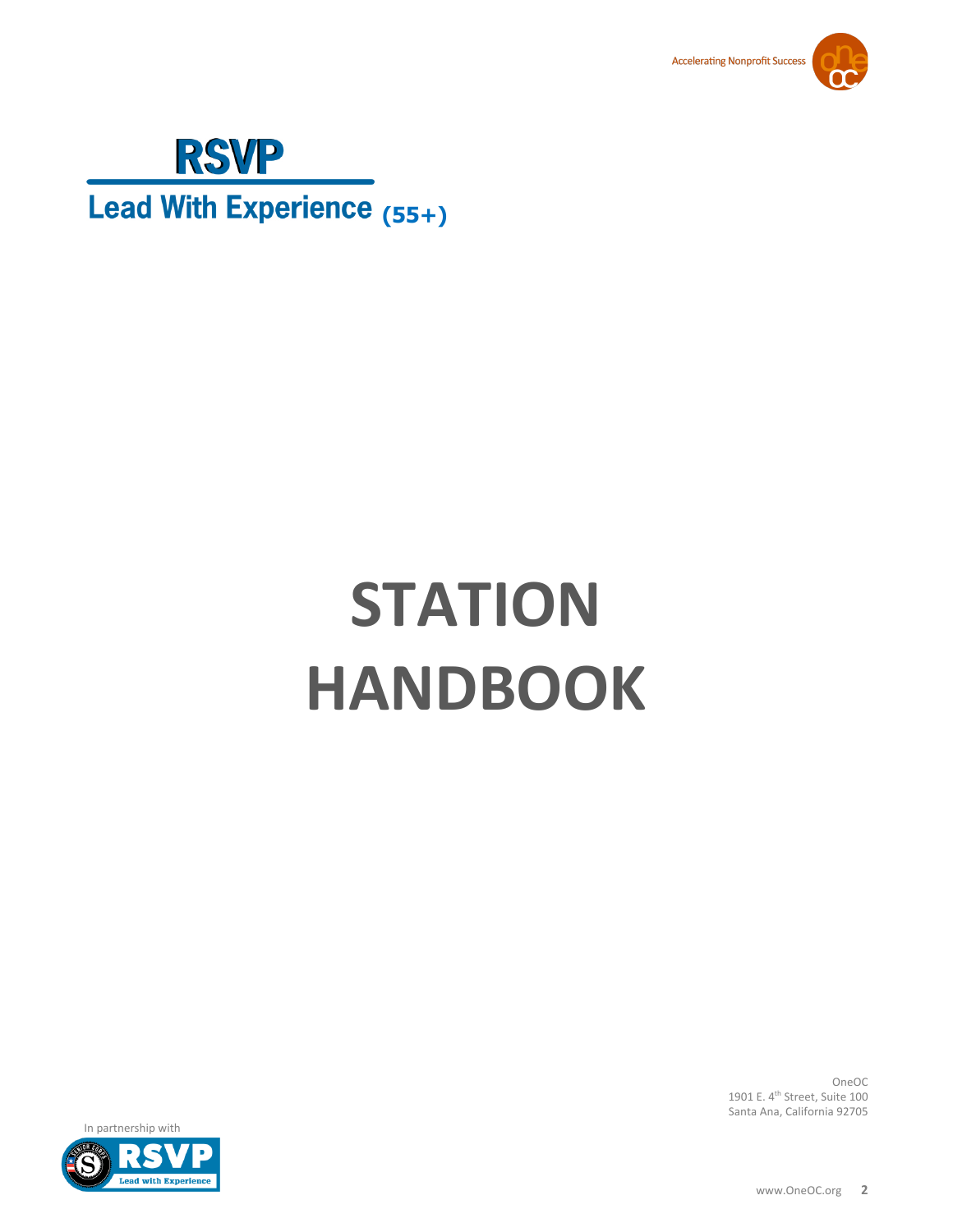



Lead With Experience (55+)

# **STATION HANDBOOK**

OneOC 1901 E. 4<sup>th</sup> Street, Suite 100 Santa Ana, California 92705

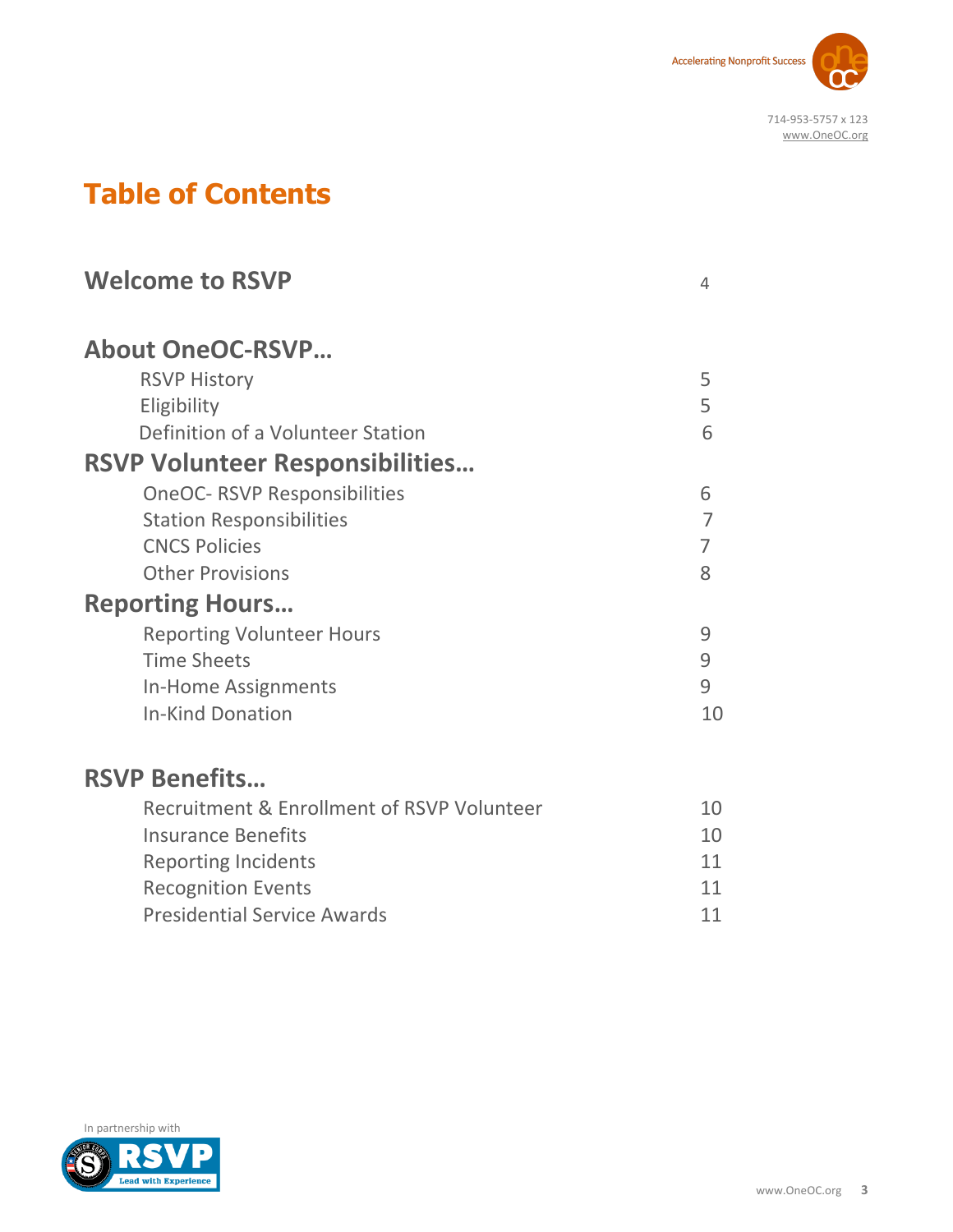

# **Table of Contents**

| <b>Welcome to RSVP</b>                     | 4              |
|--------------------------------------------|----------------|
| <b>About OneOC-RSVP</b>                    |                |
| <b>RSVP History</b>                        | 5              |
| Eligibility                                | 5              |
| Definition of a Volunteer Station          | 6              |
| <b>RSVP Volunteer Responsibilities</b>     |                |
| <b>OneOC- RSVP Responsibilities</b>        | 6              |
| <b>Station Responsibilities</b>            | $\overline{7}$ |
| <b>CNCS Policies</b>                       | $\overline{7}$ |
| <b>Other Provisions</b>                    | 8              |
| <b>Reporting Hours</b>                     |                |
| <b>Reporting Volunteer Hours</b>           | 9              |
| <b>Time Sheets</b>                         | 9              |
| In-Home Assignments                        | 9              |
| <b>In-Kind Donation</b>                    | 10             |
| <b>RSVP Benefits</b>                       |                |
| Recruitment & Enrollment of RSVP Volunteer | 10             |
| <b>Insurance Benefits</b>                  | 10             |
| <b>Reporting Incidents</b>                 | 11             |
| <b>Recognition Events</b>                  | 11             |
| <b>Presidential Service Awards</b>         | 11             |

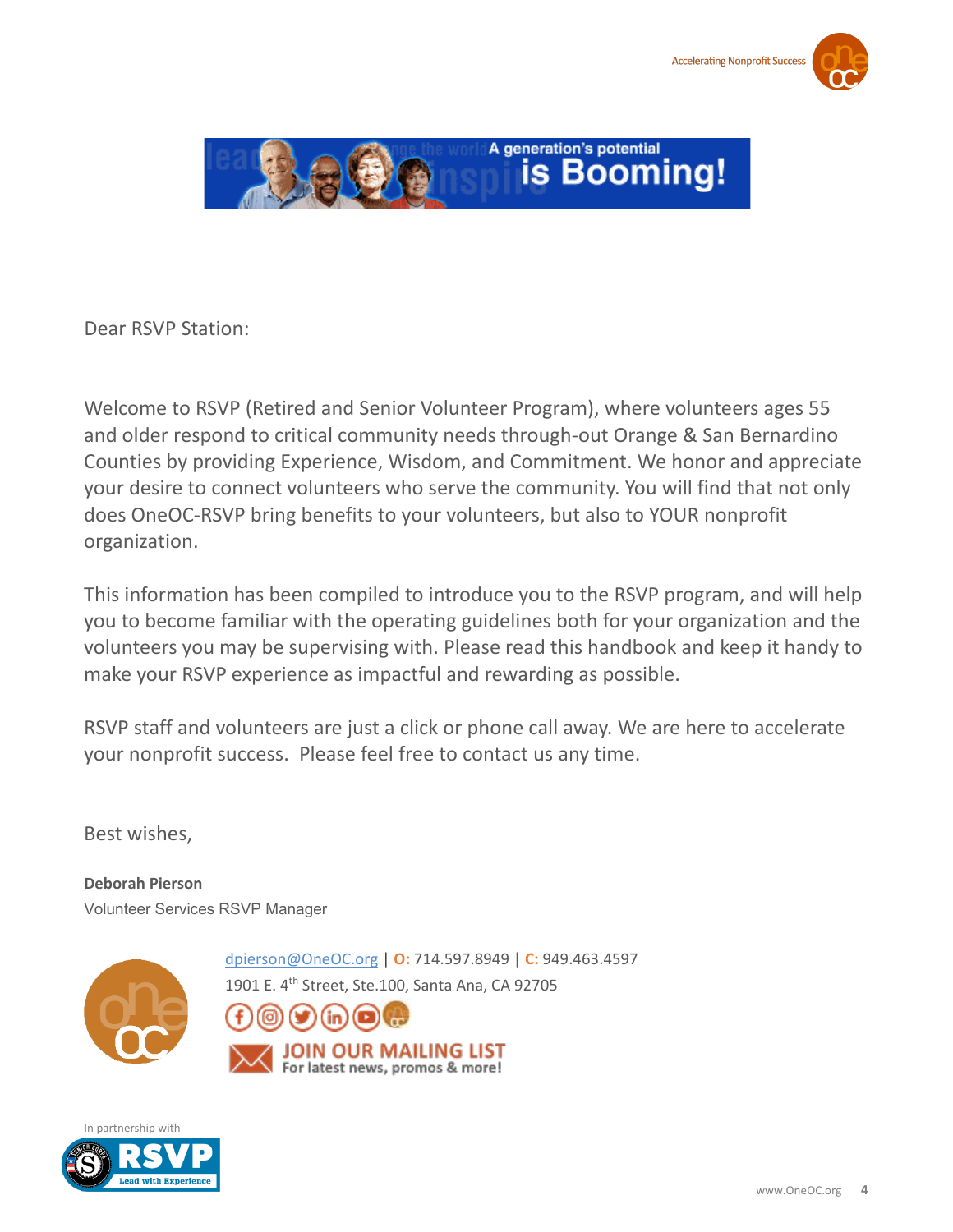



Dear RSVP Station:

Welcome to RSVP (Retired and Senior Volunteer Program), where volunteers ages 55 and older respond to critical community needs through-out Orange & San Bernardino Counties by providing Experience, Wisdom, and Commitment. We honor and appreciate your desire to connect volunteers who serve the community. You will find that not only does OneOC-RSVP bring benefits to your volunteers, but also to YOUR nonprofit organization.

This information has been compiled to introduce you to the RSVP program, and will help you to become familiar with the operating guidelines both for your organization and the volunteers you may be supervising with. Please read this handbook and keep it handy to make your RSVP experience as impactful and rewarding as possible.

RSVP staff and volunteers are just a click or phone call away. We are here to accelerate your nonprofit success. Please feel free to contact us any time.

Best wishes,

**Deborah Pierson** Volunteer Services RSVP Manager



[dpierson@OneOC.org](mailto:dpierson@OneOC.org) | **O:** 714.597.8949 | **C:** 949.463.4597

1901 E. 4th Street, Ste.100, Santa Ana, CA 92705



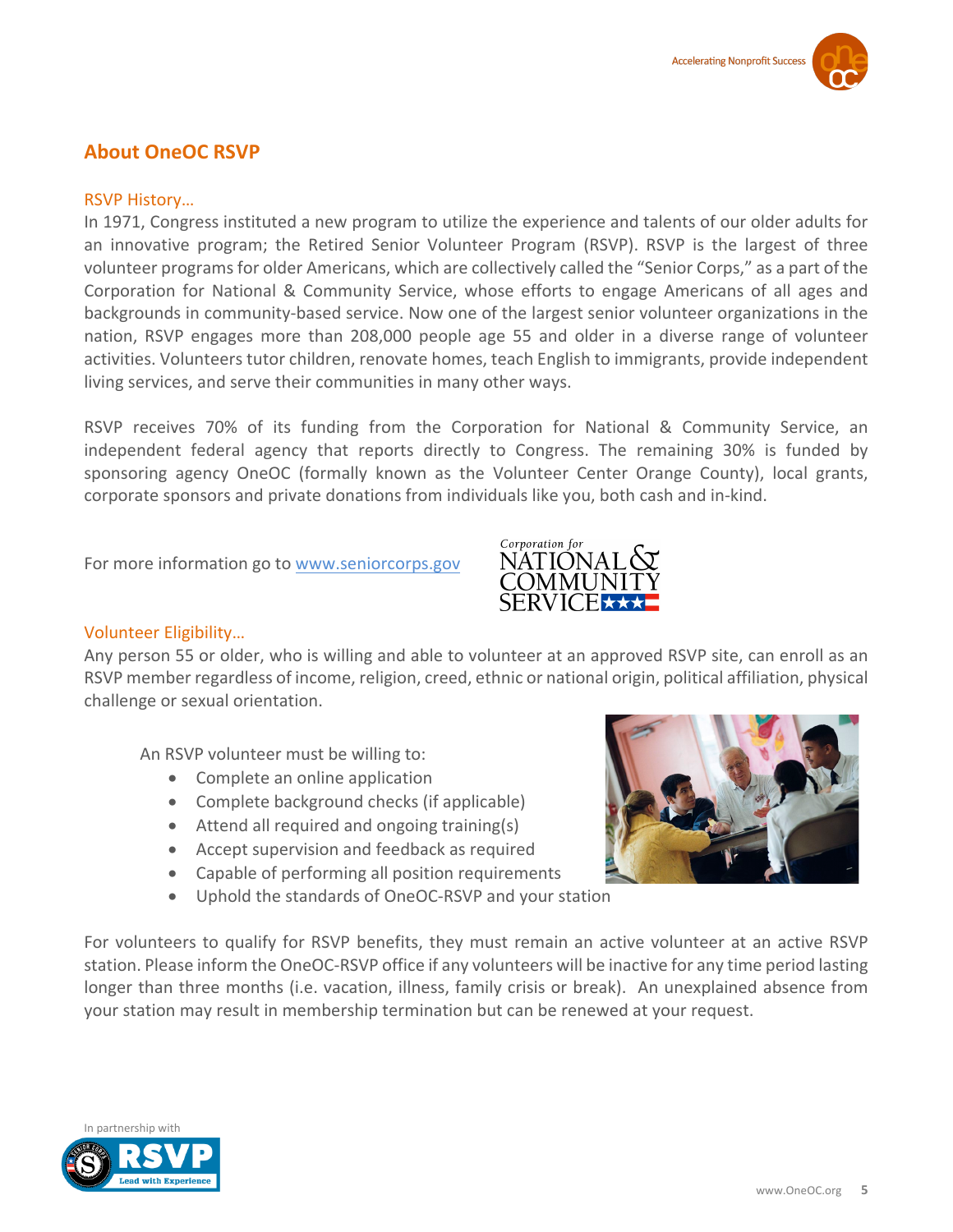### **About OneOC RSVP**

#### RSVP History…

In 1971, Congress instituted a new program to utilize the experience and talents of our older adults for an innovative program; the Retired Senior Volunteer Program (RSVP). RSVP is the largest of three volunteer programs for older Americans, which are collectively called the "Senior Corps," as a part of the Corporation for National & Community Service, whose efforts to engage Americans of all ages and backgrounds in community-based service. Now one of the largest senior volunteer organizations in the nation, RSVP engages more than 208,000 people age 55 and older in a diverse range of volunteer activities. Volunteers tutor children, renovate homes, teach English to immigrants, provide independent living services, and serve their communities in many other ways.

RSVP receives 70% of its funding from the Corporation for National & Community Service, an independent federal agency that reports directly to Congress. The remaining 30% is funded by sponsoring agency OneOC (formally known as the Volunteer Center Orange County), local grants, corporate sponsors and private donations from individuals like you, both cash and in-kind.

For more information go to [www.seniorcorps.gov](http://www.seniorcorps.gov/)



#### Volunteer Eligibility…

Any person 55 or older, who is willing and able to volunteer at an approved RSVP site, can enroll as an RSVP member regardless of income, religion, creed, ethnic or national origin, political affiliation, physical challenge or sexual orientation.

An RSVP volunteer must be willing to:

- Complete an online application
- Complete background checks (if applicable)
- Attend all required and ongoing training(s)
- Accept supervision and feedback as required
- Capable of performing all position requirements
- Uphold the standards of OneOC-RSVP and your station



For volunteers to qualify for RSVP benefits, they must remain an active volunteer at an active RSVP station. Please inform the OneOC-RSVP office if any volunteers will be inactive for any time period lasting longer than three months (i.e. vacation, illness, family crisis or break). An unexplained absence from your station may result in membership termination but can be renewed at your request.

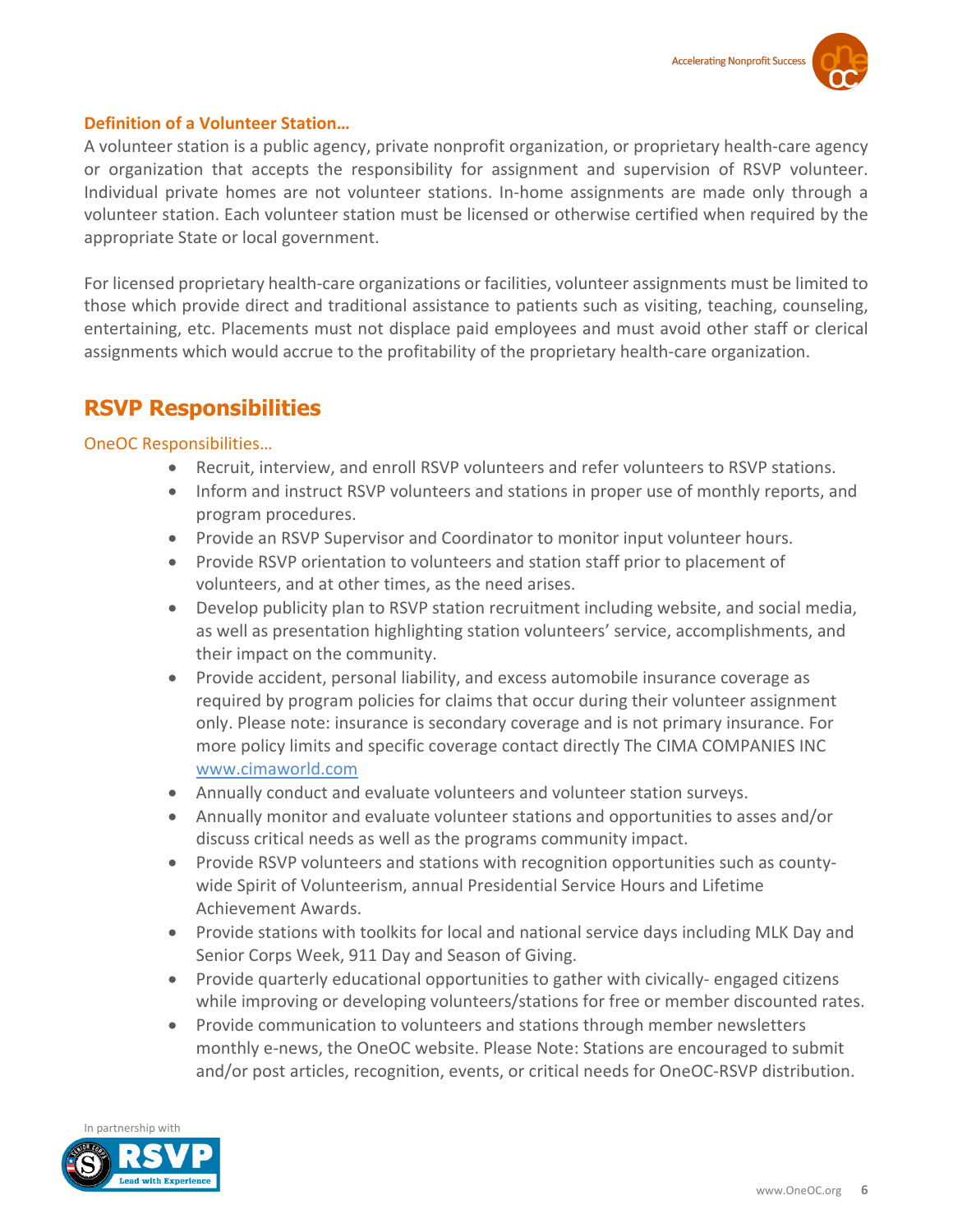

#### **Definition of a Volunteer Station…**

A volunteer station is a public agency, private nonprofit organization, or proprietary health-care agency or organization that accepts the responsibility for assignment and supervision of RSVP volunteer. Individual private homes are not volunteer stations. In-home assignments are made only through a volunteer station. Each volunteer station must be licensed or otherwise certified when required by the appropriate State or local government.

For licensed proprietary health-care organizations or facilities, volunteer assignments must be limited to those which provide direct and traditional assistance to patients such as visiting, teaching, counseling, entertaining, etc. Placements must not displace paid employees and must avoid other staff or clerical assignments which would accrue to the profitability of the proprietary health-care organization.

# **RSVP Responsibilities**

#### OneOC Responsibilities…

- Recruit, interview, and enroll RSVP volunteers and refer volunteers to RSVP stations.
- Inform and instruct RSVP volunteers and stations in proper use of monthly reports, and program procedures.
- Provide an RSVP Supervisor and Coordinator to monitor input volunteer hours.
- Provide RSVP orientation to volunteers and station staff prior to placement of volunteers, and at other times, as the need arises.
- Develop publicity plan to RSVP station recruitment including website, and social media, as well as presentation highlighting station volunteers' service, accomplishments, and their impact on the community.
- Provide accident, personal liability, and excess automobile insurance coverage as required by program policies for claims that occur during their volunteer assignment only. Please note: insurance is secondary coverage and is not primary insurance. For more policy limits and specific coverage contact directly The CIMA COMPANIES INC [www.cimaworld.com](http://www.cimaworld.com/)
- Annually conduct and evaluate volunteers and volunteer station surveys.
- Annually monitor and evaluate volunteer stations and opportunities to asses and/or discuss critical needs as well as the programs community impact.
- Provide RSVP volunteers and stations with recognition opportunities such as countywide Spirit of Volunteerism, annual Presidential Service Hours and Lifetime Achievement Awards.
- Provide stations with toolkits for local and national service days including MLK Day and Senior Corps Week, 911 Day and Season of Giving.
- Provide quarterly educational opportunities to gather with civically-engaged citizens while improving or developing volunteers/stations for free or member discounted rates.
- Provide communication to volunteers and stations through member newsletters monthly e-news, the OneOC website. Please Note: Stations are encouraged to submit and/or post articles, recognition, events, or critical needs for OneOC-RSVP distribution.

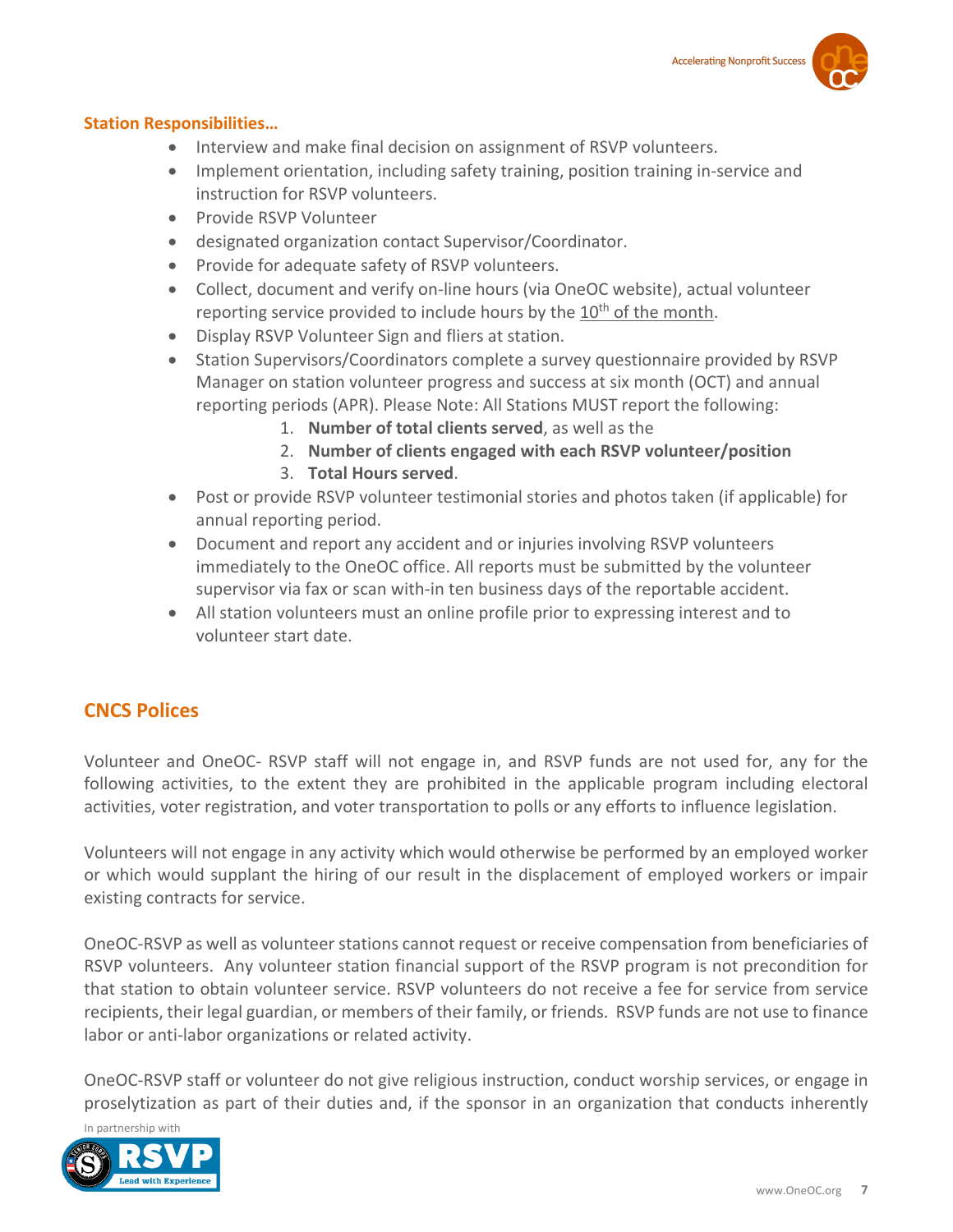#### **Station Responsibilities…**

- Interview and make final decision on assignment of RSVP volunteers.
- Implement orientation, including safety training, position training in-service and instruction for RSVP volunteers.
- Provide RSVP Volunteer
- designated organization contact Supervisor/Coordinator.
- Provide for adequate safety of RSVP volunteers.
- Collect, document and verify on-line hours (via OneOC website), actual volunteer reporting service provided to include hours by the  $10<sup>th</sup>$  of the month.
- Display RSVP Volunteer Sign and fliers at station.
- Station Supervisors/Coordinators complete a survey questionnaire provided by RSVP Manager on station volunteer progress and success at six month (OCT) and annual reporting periods (APR). Please Note: All Stations MUST report the following:
	- 1. **Number of total clients served**, as well as the
	- 2. **Number of clients engaged with each RSVP volunteer/position**
	- 3. **Total Hours served**.
- Post or provide RSVP volunteer testimonial stories and photos taken (if applicable) for annual reporting period.
- Document and report any accident and or injuries involving RSVP volunteers immediately to the OneOC office. All reports must be submitted by the volunteer supervisor via fax or scan with-in ten business days of the reportable accident.
- All station volunteers must an online profile prior to expressing interest and to volunteer start date.

#### **CNCS Polices**

Volunteer and OneOC- RSVP staff will not engage in, and RSVP funds are not used for, any for the following activities, to the extent they are prohibited in the applicable program including electoral activities, voter registration, and voter transportation to polls or any efforts to influence legislation.

Volunteers will not engage in any activity which would otherwise be performed by an employed worker or which would supplant the hiring of our result in the displacement of employed workers or impair existing contracts for service.

OneOC-RSVP as well as volunteer stations cannot request or receive compensation from beneficiaries of RSVP volunteers. Any volunteer station financial support of the RSVP program is not precondition for that station to obtain volunteer service. RSVP volunteers do not receive a fee for service from service recipients, their legal guardian, or members of their family, or friends. RSVP funds are not use to finance labor or anti-labor organizations or related activity.

OneOC-RSVP staff or volunteer do not give religious instruction, conduct worship services, or engage in proselytization as part of their duties and, if the sponsor in an organization that conducts inherently

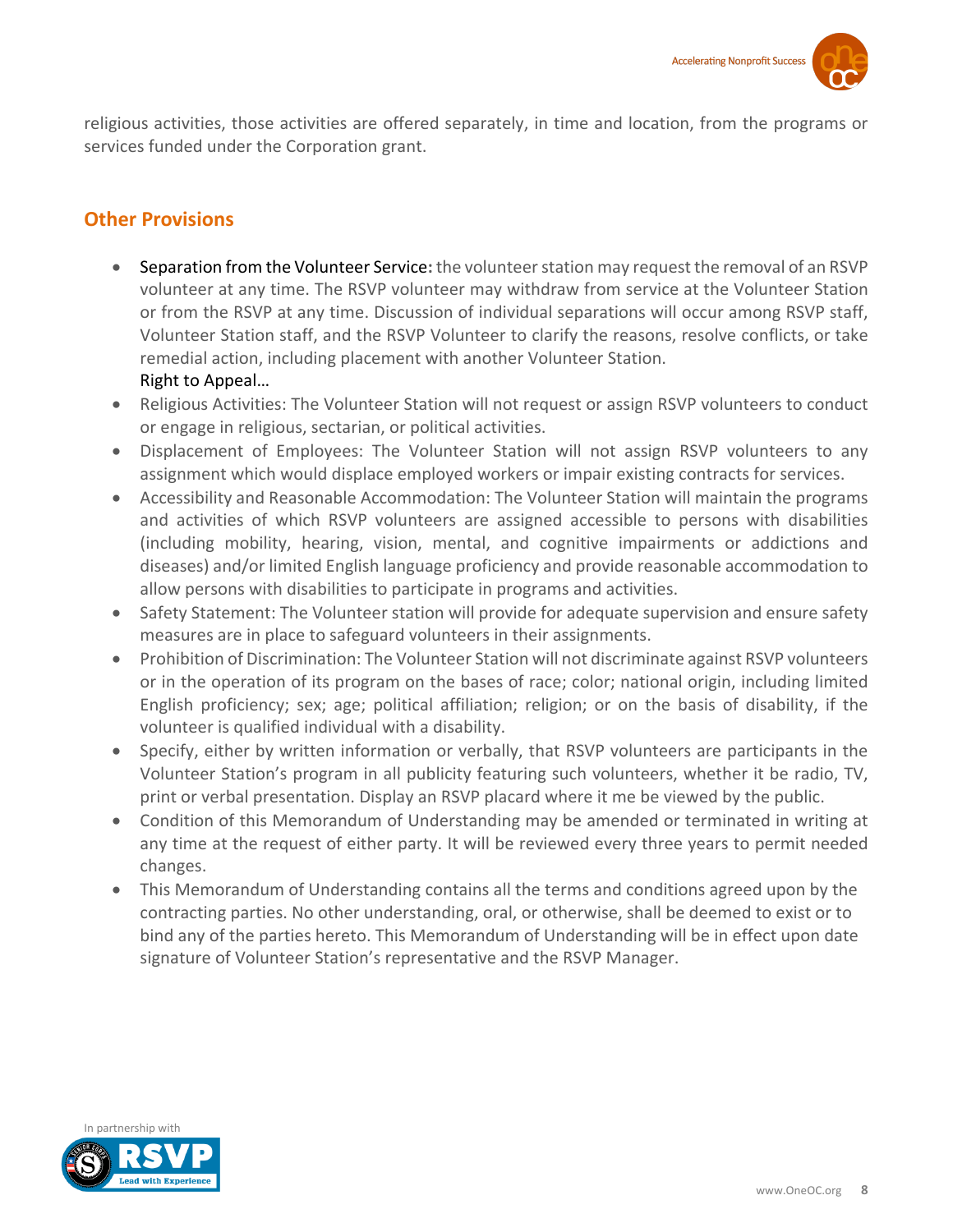religious activities, those activities are offered separately, in time and location, from the programs or services funded under the Corporation grant.

### **Other Provisions**

- Separation from the Volunteer Service**:** the volunteer station may request the removal of an RSVP volunteer at any time. The RSVP volunteer may withdraw from service at the Volunteer Station or from the RSVP at any time. Discussion of individual separations will occur among RSVP staff, Volunteer Station staff, and the RSVP Volunteer to clarify the reasons, resolve conflicts, or take remedial action, including placement with another Volunteer Station. Right to Appeal…
- Religious Activities: The Volunteer Station will not request or assign RSVP volunteers to conduct or engage in religious, sectarian, or political activities.
- Displacement of Employees: The Volunteer Station will not assign RSVP volunteers to any assignment which would displace employed workers or impair existing contracts for services.
- Accessibility and Reasonable Accommodation: The Volunteer Station will maintain the programs and activities of which RSVP volunteers are assigned accessible to persons with disabilities (including mobility, hearing, vision, mental, and cognitive impairments or addictions and diseases) and/or limited English language proficiency and provide reasonable accommodation to allow persons with disabilities to participate in programs and activities.
- Safety Statement: The Volunteer station will provide for adequate supervision and ensure safety measures are in place to safeguard volunteers in their assignments.
- Prohibition of Discrimination: The Volunteer Station will not discriminate against RSVP volunteers or in the operation of its program on the bases of race; color; national origin, including limited English proficiency; sex; age; political affiliation; religion; or on the basis of disability, if the volunteer is qualified individual with a disability.
- Specify, either by written information or verbally, that RSVP volunteers are participants in the Volunteer Station's program in all publicity featuring such volunteers, whether it be radio, TV, print or verbal presentation. Display an RSVP placard where it me be viewed by the public.
- Condition of this Memorandum of Understanding may be amended or terminated in writing at any time at the request of either party. It will be reviewed every three years to permit needed changes.
- This Memorandum of Understanding contains all the terms and conditions agreed upon by the contracting parties. No other understanding, oral, or otherwise, shall be deemed to exist or to bind any of the parties hereto. This Memorandum of Understanding will be in effect upon date signature of Volunteer Station's representative and the RSVP Manager.

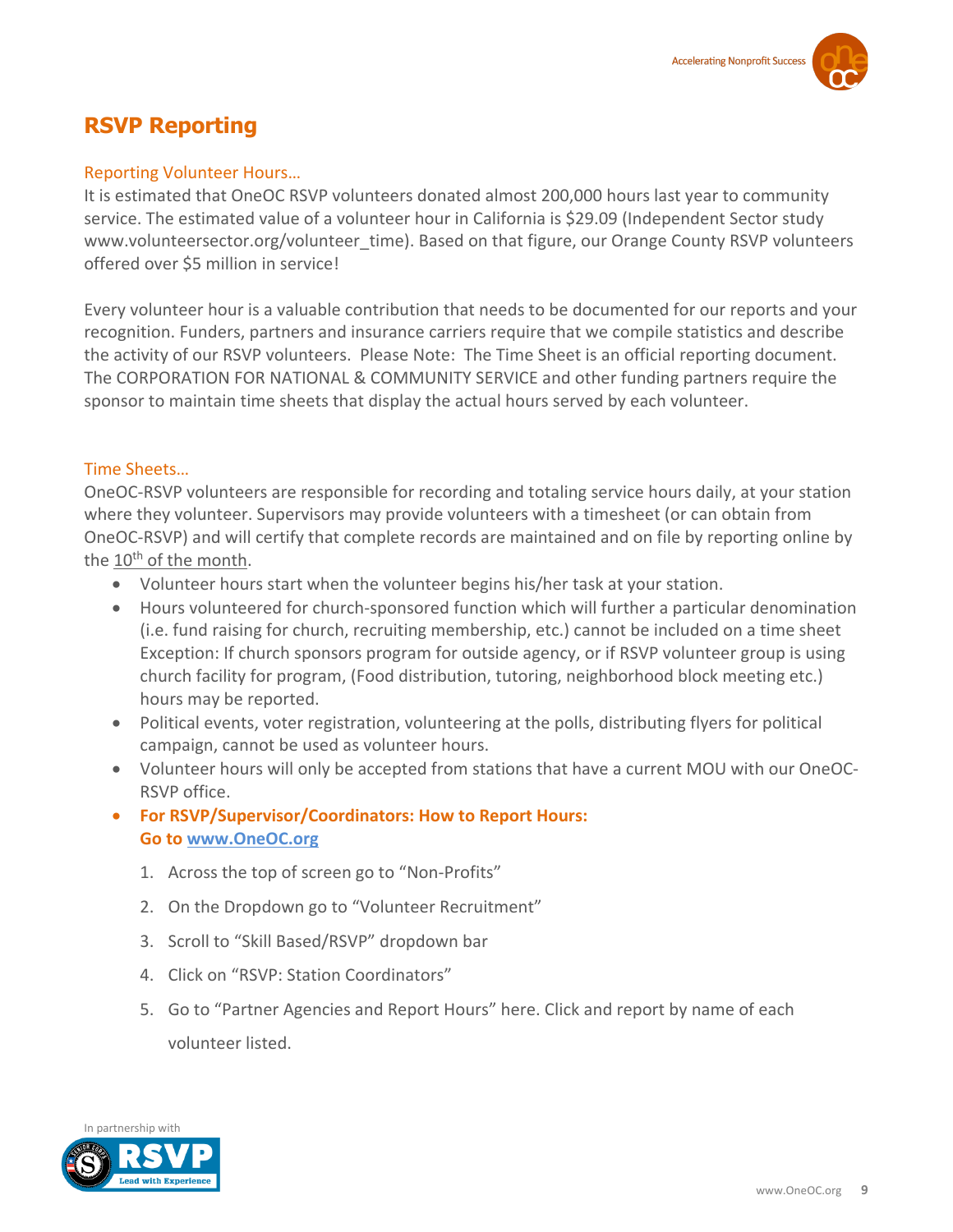# **RSVP Reporting**

#### Reporting Volunteer Hours…

It is estimated that OneOC RSVP volunteers donated almost 200,000 hours last year to community service. The estimated value of a volunteer hour in California is \$29.09 (Independent Sector study www.volunteersector.org/volunteer\_time). Based on that figure, our Orange County RSVP volunteers offered over \$5 million in service!

Every volunteer hour is a valuable contribution that needs to be documented for our reports and your recognition. Funders, partners and insurance carriers require that we compile statistics and describe the activity of our RSVP volunteers. Please Note: The Time Sheet is an official reporting document. The CORPORATION FOR NATIONAL & COMMUNITY SERVICE and other funding partners require the sponsor to maintain time sheets that display the actual hours served by each volunteer.

#### Time Sheets…

OneOC-RSVP volunteers are responsible for recording and totaling service hours daily, at your station where they volunteer. Supervisors may provide volunteers with a timesheet (or can obtain from OneOC-RSVP) and will certify that complete records are maintained and on file by reporting online by the 10<sup>th</sup> of the month.

- Volunteer hours start when the volunteer begins his/her task at your station.
- Hours volunteered for church-sponsored function which will further a particular denomination (i.e. fund raising for church, recruiting membership, etc.) cannot be included on a time sheet Exception: If church sponsors program for outside agency, or if RSVP volunteer group is using church facility for program, (Food distribution, tutoring, neighborhood block meeting etc.) hours may be reported.
- Political events, voter registration, volunteering at the polls, distributing flyers for political campaign, cannot be used as volunteer hours.
- Volunteer hours will only be accepted from stations that have a current MOU with our OneOC-RSVP office.
- **For RSVP/Supervisor/Coordinators: How to Report Hours: Go to [www.OneOC.org](http://www.oneoc.org/)**
	- 1. Across the top of screen go to "Non-Profits"
	- 2. On the Dropdown go to "Volunteer Recruitment"
	- 3. Scroll to "Skill Based/RSVP" dropdown bar
	- 4. Click on "RSVP: Station Coordinators"
	- 5. Go to "Partner Agencies and Report Hours" here. Click and report by name of each volunteer listed.

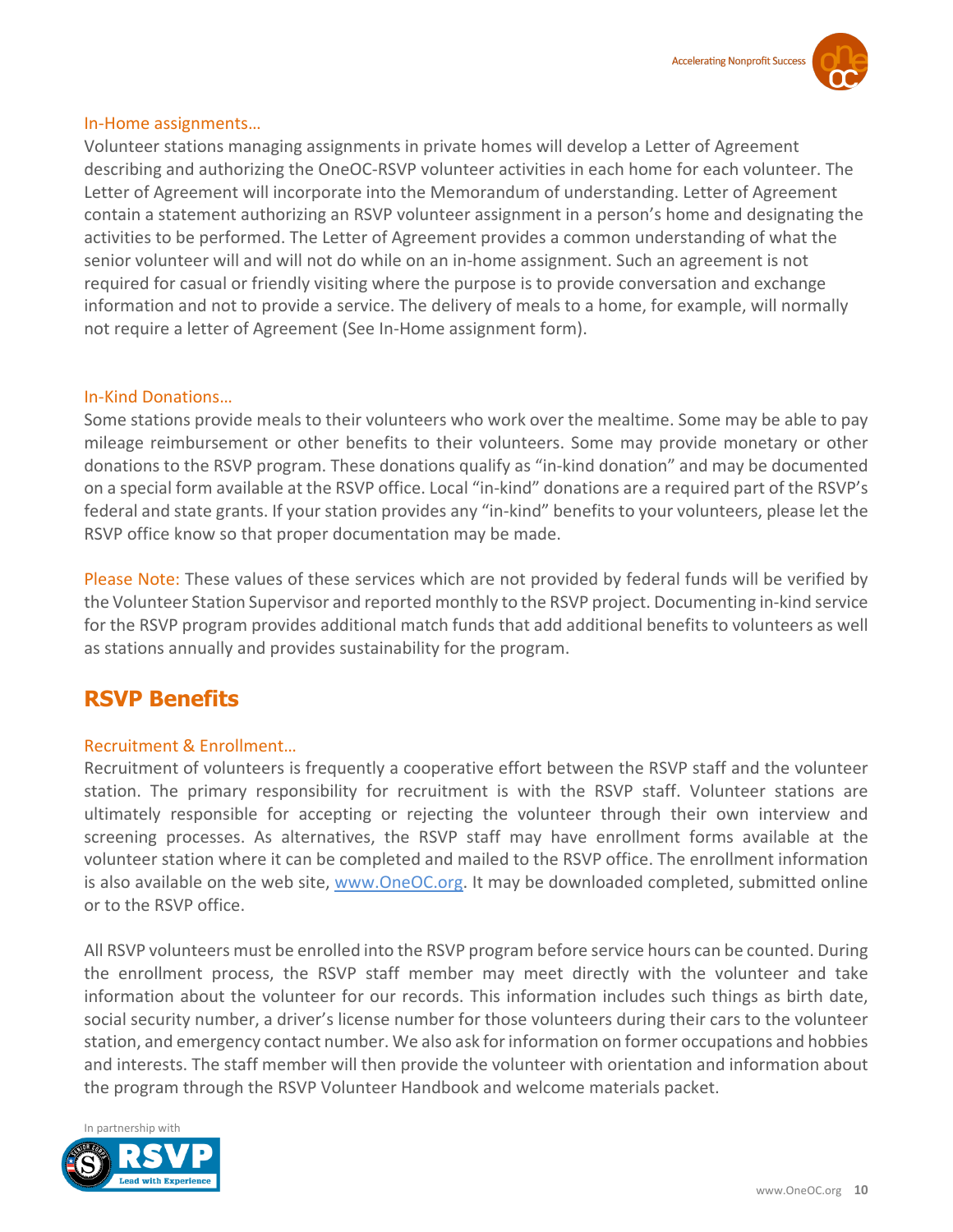#### In-Home assignments…

Volunteer stations managing assignments in private homes will develop a Letter of Agreement describing and authorizing the OneOC-RSVP volunteer activities in each home for each volunteer. The Letter of Agreement will incorporate into the Memorandum of understanding. Letter of Agreement contain a statement authorizing an RSVP volunteer assignment in a person's home and designating the activities to be performed. The Letter of Agreement provides a common understanding of what the senior volunteer will and will not do while on an in-home assignment. Such an agreement is not required for casual or friendly visiting where the purpose is to provide conversation and exchange information and not to provide a service. The delivery of meals to a home, for example, will normally not require a letter of Agreement (See In-Home assignment form).

#### In-Kind Donations…

Some stations provide meals to their volunteers who work over the mealtime. Some may be able to pay mileage reimbursement or other benefits to their volunteers. Some may provide monetary or other donations to the RSVP program. These donations qualify as "in-kind donation" and may be documented on a special form available at the RSVP office. Local "in-kind" donations are a required part of the RSVP's federal and state grants. If your station provides any "in-kind" benefits to your volunteers, please let the RSVP office know so that proper documentation may be made.

Please Note: These values of these services which are not provided by federal funds will be verified by the Volunteer Station Supervisor and reported monthly to the RSVP project. Documenting in-kind service for the RSVP program provides additional match funds that add additional benefits to volunteers as well as stations annually and provides sustainability for the program.

# **RSVP Benefits**

#### Recruitment & Enrollment…

Recruitment of volunteers is frequently a cooperative effort between the RSVP staff and the volunteer station. The primary responsibility for recruitment is with the RSVP staff. Volunteer stations are ultimately responsible for accepting or rejecting the volunteer through their own interview and screening processes. As alternatives, the RSVP staff may have enrollment forms available at the volunteer station where it can be completed and mailed to the RSVP office. The enrollment information is also available on the web site, [www.OneOC.org.](http://www.oneoc.org/) It may be downloaded completed, submitted online or to the RSVP office.

All RSVP volunteers must be enrolled into the RSVP program before service hours can be counted. During the enrollment process, the RSVP staff member may meet directly with the volunteer and take information about the volunteer for our records. This information includes such things as birth date, social security number, a driver's license number for those volunteers during their cars to the volunteer station, and emergency contact number. We also ask for information on former occupations and hobbies and interests. The staff member will then provide the volunteer with orientation and information about the program through the RSVP Volunteer Handbook and welcome materials packet.

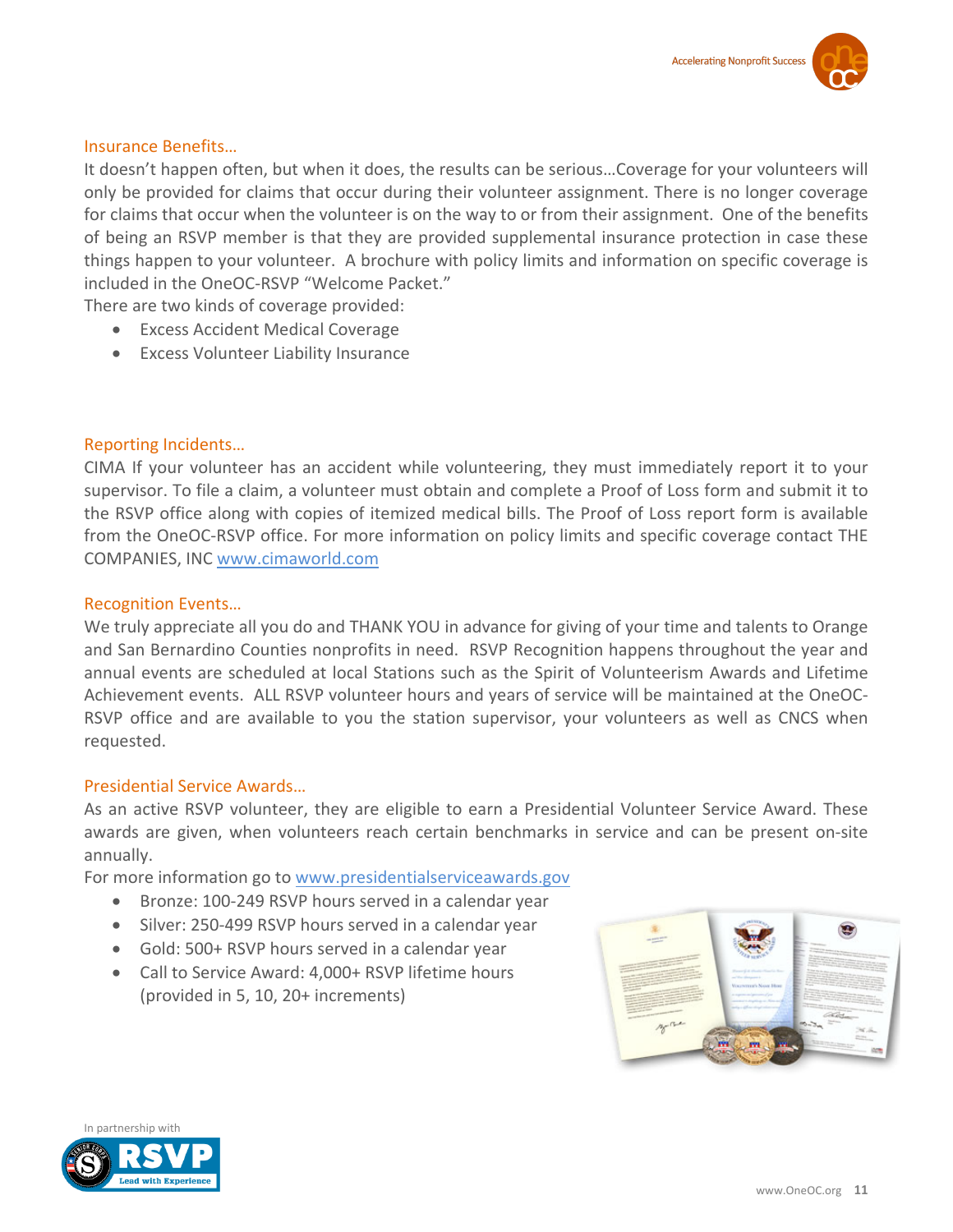#### Insurance Benefits…

It doesn't happen often, but when it does, the results can be serious…Coverage for your volunteers will only be provided for claims that occur during their volunteer assignment. There is no longer coverage for claims that occur when the volunteer is on the way to or from their assignment. One of the benefits of being an RSVP member is that they are provided supplemental insurance protection in case these things happen to your volunteer. A brochure with policy limits and information on specific coverage is included in the OneOC-RSVP "Welcome Packet."

- There are two kinds of coverage provided:
	- Excess Accident Medical Coverage
	- Excess Volunteer Liability Insurance

#### Reporting Incidents…

CIMA If your volunteer has an accident while volunteering, they must immediately report it to your supervisor. To file a claim, a volunteer must obtain and complete a Proof of Loss form and submit it to the RSVP office along with copies of itemized medical bills. The Proof of Loss report form is available from the OneOC-RSVP office. For more information on policy limits and specific coverage contact THE COMPANIES, INC [www.cimaworld.com](http://www.cimaworld.com/)

#### Recognition Events…

We truly appreciate all you do and THANK YOU in advance for giving of your time and talents to Orange and San Bernardino Counties nonprofits in need. RSVP Recognition happens throughout the year and annual events are scheduled at local Stations such as the Spirit of Volunteerism Awards and Lifetime Achievement events. ALL RSVP volunteer hours and years of service will be maintained at the OneOC-RSVP office and are available to you the station supervisor, your volunteers as well as CNCS when requested.

#### Presidential Service Awards…

As an active RSVP volunteer, they are eligible to earn a Presidential Volunteer Service Award. These awards are given, when volunteers reach certain benchmarks in service and can be present on-site annually.

For more information go to [www.presidentialserviceawards.gov](http://www.presidentialserviceawards.gov/)

- Bronze: 100-249 RSVP hours served in a calendar year
- Silver: 250-499 RSVP hours served in a calendar year
- Gold: 500+ RSVP hours served in a calendar year
- Call to Service Award: 4,000+ RSVP lifetime hours (provided in 5, 10, 20+ increments)